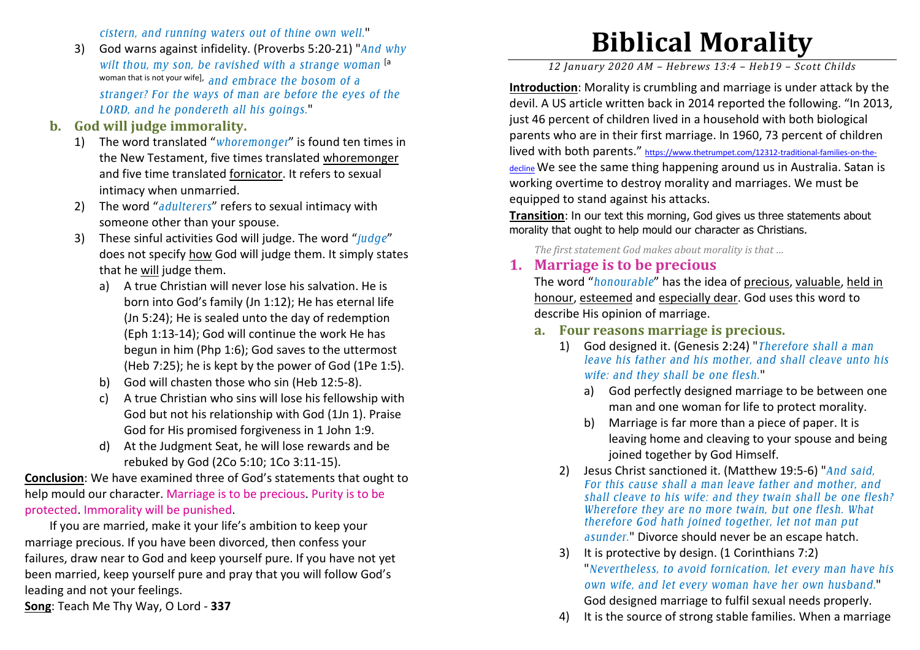*cistern, and running waters out of thine own well.*"

3) God warns against infidelity. (Proverbs 5:20-21) "*And why wilt thou, my son, be ravished with a strange woman* [a woman that is not your wife], *and embrace the bosom of a stranger? For the ways of man are before the eyes of the LORD, and he pondereth all his goings.*"

#### **b. God will judge immorality.**

- 1) The word translated "*whoremonger*" is found ten times in the New Testament, five times translated whoremonger and five time translated fornicator. It refers to sexual intimacy when unmarried.
- 2) The word "*adulterers*" refers to sexual intimacy with someone other than your spouse.
- 3) These sinful activities God will judge. The word "*judge*" does not specify how God will judge them. It simply states that he will judge them.
	- a) A true Christian will never lose his salvation. He is born into God's family (Jn 1:12); He has eternal life (Jn 5:24); He is sealed unto the day of redemption (Eph 1:13-14); God will continue the work He has begun in him (Php 1:6); God saves to the uttermost (Heb 7:25); he is kept by the power of God (1Pe 1:5).
	- b) God will chasten those who sin (Heb 12:5-8).
	- c) A true Christian who sins will lose his fellowship with God but not his relationship with God (1Jn 1). Praise God for His promised forgiveness in 1 John 1:9.
	- d) At the Judgment Seat, he will lose rewards and be rebuked by God (2Co 5:10; 1Co 3:11-15).

**Conclusion**: We have examined three of God's statements that ought to help mould our character. Marriage is to be precious. Purity is to be protected. Immorality will be punished.

 If you are married, make it your life's ambition to keep your marriage precious. If you have been divorced, then confess your failures, draw near to God and keep yourself pure. If you have not yet been married, keep yourself pure and pray that you will follow God's leading and not your feelings.

**Song**: Teach Me Thy Way, O Lord - **337**

# **Biblical Morality**

*12 January 2020 AM – Hebrews 13:4 – Heb19 – Scott Childs* 

**Introduction**: Morality is crumbling and marriage is under attack by the devil. A US article written back in 2014 reported the following. "In 2013, just 46 percent of children lived in a household with both biological parents who are in their first marriage. In 1960, 73 percent of children lived with both parents." https://www.thetrumpet.com/12312-traditional-families-on-thedecline We see the same thing happening around us in Australia. Satan is working overtime to destroy morality and marriages. We must be equipped to stand against his attacks.

**Transition:** In our text this morning, God gives us three statements about morality that ought to help mould our character as Christians.

*The first statement God makes about morality is that …* 

## **1. Marriage is to be precious**

The word "*honourable*" has the idea of precious, valuable, held in honour, esteemed and especially dear. God uses this word to describe His opinion of marriage.

- **a. Four reasons marriage is precious.** 
	- 1) God designed it. (Genesis 2:24) "*Therefore shall a man leave his father and his mother, and shall cleave unto his wife: and they shall be one flesh.*"
		- a) God perfectly designed marriage to be between one man and one woman for life to protect morality.
		- b) Marriage is far more than a piece of paper. It is leaving home and cleaving to your spouse and being joined together by God Himself.
	- 2) Jesus Christ sanctioned it. (Matthew 19:5-6) "*And said, For this cause shall a man leave father and mother, and shall cleave to his wife: and they twain shall be one flesh? Wherefore they are no more twain, but one flesh. What therefore God hath joined together, let not man putasunder.*" Divorce should never be an escape hatch.
	- 3) It is protective by design. (1 Corinthians 7:2) "*Nevertheless, to avoid fornication, let every man have his own wife, and let every woman have her own husband.*" God designed marriage to fulfil sexual needs properly.
	- 4)It is the source of strong stable families. When a marriage